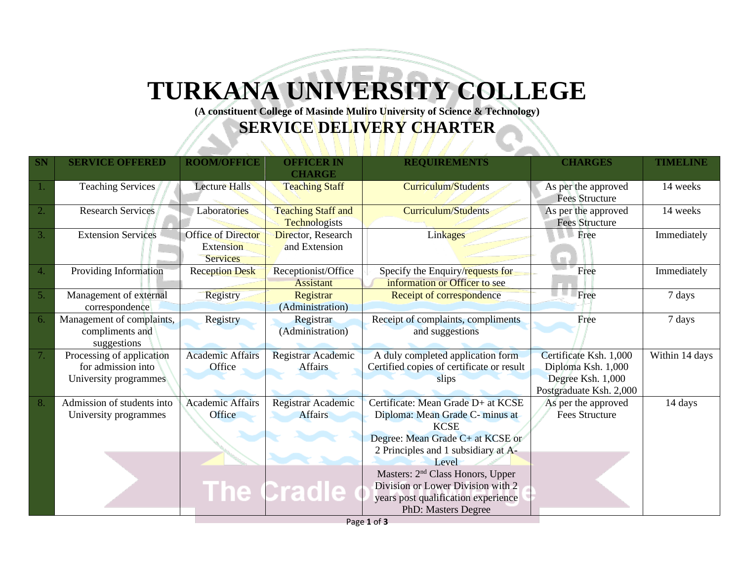## **TURKANA UNIVERSITY COLLEGE**

**(A constituent College of Masinde Muliro University of Science & Technology)**

## **SERVICE DELIVERY CHARTER**

| <b>SN</b> | <b>SERVICE OFFERED</b>                                                   | <b>ROOM/OFFICE</b>                                 | <b>OFFICER IN</b><br><b>CHARGE</b>                   | <b>REQUIREMENTS</b>                                                                                                                                                                                                                                                                                                         | <b>CHARGES</b>                                                                               | <b>TIMELINE</b> |
|-----------|--------------------------------------------------------------------------|----------------------------------------------------|------------------------------------------------------|-----------------------------------------------------------------------------------------------------------------------------------------------------------------------------------------------------------------------------------------------------------------------------------------------------------------------------|----------------------------------------------------------------------------------------------|-----------------|
|           | <b>Teaching Services</b>                                                 | <b>Lecture Halls</b>                               | <b>Teaching Staff</b>                                | <b>Curriculum/Students</b>                                                                                                                                                                                                                                                                                                  | As per the approved<br><b>Fees Structure</b>                                                 | 14 weeks        |
| 2.        | <b>Research Services</b>                                                 | Laboratories                                       | <b>Teaching Staff and</b><br><b>Technologists</b>    | <b>Curriculum/Students</b>                                                                                                                                                                                                                                                                                                  | As per the approved<br><b>Fees Structure</b>                                                 | 14 weeks        |
| 3.        | <b>Extension Services</b>                                                | Office of Director<br>Extension<br><b>Services</b> | Director, Research<br>and Extension                  | Linkages                                                                                                                                                                                                                                                                                                                    | Free                                                                                         | Immediately     |
| 4.        | Providing Information                                                    | <b>Reception Desk</b>                              | Receptionist/Office<br><b>Assistant</b>              | Specify the Enquiry/requests for<br>information or Officer to see                                                                                                                                                                                                                                                           | Free                                                                                         | Immediately     |
| 5.        | Management of external<br>correspondence                                 | Registry                                           | Registrar<br>(Administration)                        | Receipt of correspondence                                                                                                                                                                                                                                                                                                   | Free                                                                                         | 7 days          |
| 6.        | Management of complaints,<br>compliments and<br>suggestions              | Registry                                           | Registrar<br>(Administration)                        | Receipt of complaints, compliments<br>and suggestions                                                                                                                                                                                                                                                                       | Free                                                                                         | 7 days          |
| 7.        | Processing of application<br>for admission into<br>University programmes | <b>Academic Affairs</b><br>Office                  | Registrar Academic<br><b>Affairs</b>                 | A duly completed application form<br>Certified copies of certificate or result<br>slips                                                                                                                                                                                                                                     | Certificate Ksh. 1,000<br>Diploma Ksh. 1,000<br>Degree Ksh. 1,000<br>Postgraduate Ksh. 2,000 | Within 14 days  |
| 8.        | Admission of students into<br>University programmes                      | <b>Academic Affairs</b><br>Office                  | Registrar Academic<br><b>Affairs</b><br>The Cradle o | Certificate: Mean Grade D+ at KCSE<br>Diploma: Mean Grade C- minus at<br><b>KCSE</b><br>Degree: Mean Grade C+ at KCSE or<br>2 Principles and 1 subsidiary at A-<br>Level<br>Masters: 2 <sup>nd</sup> Class Honors, Upper<br>Division or Lower Division with 2<br>years post qualification experience<br>PhD: Masters Degree | As per the approved<br><b>Fees Structure</b>                                                 | 14 days         |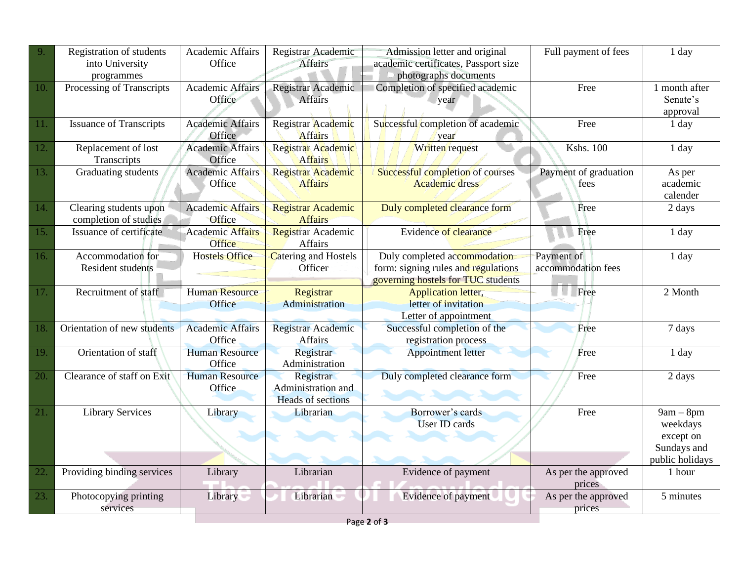| 9.  | Registration of students<br>into University<br>programmes | <b>Academic Affairs</b><br>Office | Registrar Academic<br><b>Affairs</b>                        | Admission letter and original<br>academic certificates, Passport size<br>photographs documents            | Full payment of fees             | 1 day                                                                  |
|-----|-----------------------------------------------------------|-----------------------------------|-------------------------------------------------------------|-----------------------------------------------------------------------------------------------------------|----------------------------------|------------------------------------------------------------------------|
| 10. | Processing of Transcripts                                 | <b>Academic Affairs</b><br>Office | Registrar Academic<br><b>Affairs</b>                        | Completion of specified academic<br>year                                                                  | Free                             | 1 month after<br>Senate's<br>approval                                  |
| 11. | <b>Issuance of Transcripts</b>                            | <b>Academic Affairs</b><br>Office | Registrar Academic<br><b>Affairs</b>                        | Successful completion of academic<br>year                                                                 | Free                             | 1 day                                                                  |
| 12. | Replacement of lost<br>Transcripts                        | <b>Academic Affairs</b><br>Office | Registrar Academic<br>Affairs                               | Written request                                                                                           | <b>Kshs. 100</b>                 | 1 day                                                                  |
| 13. | Graduating students                                       | <b>Academic Affairs</b><br>Office | Registrar Academic<br><b>Affairs</b>                        | Successful completion of courses<br><b>Academic dress</b>                                                 | Payment of graduation<br>fees    | As per<br>academic<br>calender                                         |
| 14. | Clearing students upon<br>completion of studies           | <b>Academic Affairs</b><br>Office | Registrar Academic<br><b>Affairs</b>                        | Duly completed clearance form                                                                             | Free                             | 2 days                                                                 |
| 15. | Issuance of certificate                                   | <b>Academic Affairs</b><br>Office | Registrar Academic<br>Affairs                               | <b>Evidence of clearance</b>                                                                              | Free                             | 1 day                                                                  |
| 16. | Accommodation for<br><b>Resident students</b>             | <b>Hostels Office</b>             | Catering and Hostels<br>Officer                             | Duly completed accommodation<br>form: signing rules and regulations<br>governing hostels for TUC students | Payment of<br>accommodation fees | 1 day                                                                  |
| 17. | Recruitment of staff                                      | <b>Human Resource</b><br>Office   | Registrar<br>Administration                                 | <b>Application letter,</b><br>letter of invitation<br>Letter of appointment                               | Free<br>٠                        | 2 Month                                                                |
| 18. | Orientation of new students                               | <b>Academic Affairs</b><br>Office | Registrar Academic<br>Affairs                               | Successful completion of the<br>registration process                                                      | Free                             | 7 days                                                                 |
| 19. | Orientation of staff                                      | <b>Human Resource</b><br>Office   | Registrar<br>Administration                                 | <b>Appointment letter</b>                                                                                 | Free                             | 1 day                                                                  |
| 20. | Clearance of staff on Exit                                | <b>Human Resource</b><br>Office   | Registrar<br>Administration and<br><b>Heads of sections</b> | Duly completed clearance form                                                                             | Free                             | 2 days                                                                 |
| 21. | <b>Library Services</b>                                   | Library                           | Librarian                                                   | Borrower's cards<br><b>User ID cards</b>                                                                  | Free                             | $9am - 8pm$<br>weekdays<br>except on<br>Sundays and<br>public holidays |
| 22. | Providing binding services                                | Library                           | Librarian                                                   | Evidence of payment                                                                                       | As per the approved<br>prices    | 1 hour                                                                 |
| 23. | Photocopying printing<br>services                         | Library                           | Librarian                                                   | Evidence of payment                                                                                       | As per the approved<br>prices    | 5 minutes                                                              |